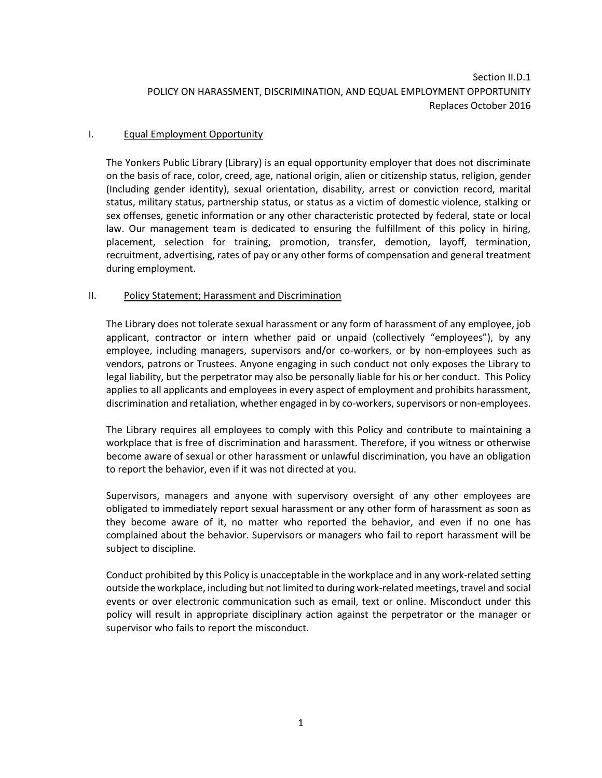# I. Equal Employment Opportunity

The Yonkers Public Library (Library) is an equal opportunity employer that does not discriminate on the basis of race, color, creed, age, national origin, alien or citizenship status, religion, gender (Including gender identity), sexual orientation, disability, arrest or conviction record, marital status, military status, partnership status, or status as a victim of domestic violence, stalking or sex offenses, genetic information or any other characteristic protected by federal, state or local law. Our management team is dedicated to ensuring the fulfillment of this policy in hiring, placement, selection for training, promotion, transfer, demotion, layoff, termination, recruitment, advertising, rates of pay or any other forms of compensation and general treatment during employment.

## II. Policy Statement; Harassment and Discrimination

The Library does not tolerate sexual harassment or any form of harassment of any employee, job applicant, contractor or intern whether paid or unpaid (collectively "employees"), by any employee, including managers, supervisors and/or co-workers, or by non-employees such as vendors, patrons or Trustees. Anyone engaging in such conduct not only exposes the Library to legal liability, but the perpetrator may also be personally liable for his or her conduct. This Policy applies to all applicants and employees in every aspect of employment and prohibits harassment, discrimination and retaliation, whether engaged in by co-workers, supervisors or non-employees.

The Library requires all employees to comply with this Policy and contribute to maintaining a workplace that is free of discrimination and harassment. Therefore, if you witness or otherwise become aware of sexual or other harassment or unlawful discrimination, you have an obligation to report the behavior, even if it was not directed at you.

Supervisors, managers and anyone with supervisory oversight of any other employees are obligated to immediately report sexual harassment or any other form of harassment as soon as they become aware of it, no matter who reported the behavior, and even if no one has complained about the behavior. Supervisors or managers who fail to report harassment will be subject to discipline.

Conduct prohibited by this Policy is unacceptable in the workplace and in any work-related setting outside the workplace, including but not limited to during work-related meetings, travel and social events or over electronic communication such as email, text or online. Misconduct under this policy will result in appropriate disciplinary action against the perpetrator or the manager or supervisor who fails to report the misconduct.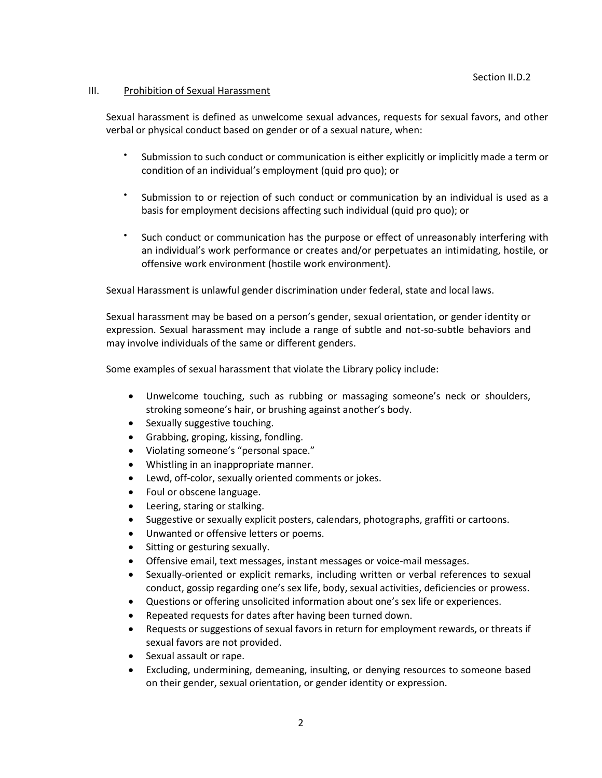### III. Prohibition of Sexual Harassment

Sexual harassment is defined as unwelcome sexual advances, requests for sexual favors, and other verbal or physical conduct based on gender or of a sexual nature, when:

- $\bullet$ Submission to such conduct or communication is either explicitly or implicitly made a term or condition of an individual's employment (quid pro quo); or
- $\bullet$ Submission to or rejection of such conduct or communication by an individual is used as a basis for employment decisions affecting such individual (quid pro quo); or
- $\bullet$ Such conduct or communication has the purpose or effect of unreasonably interfering with an individual's work performance or creates and/or perpetuates an intimidating, hostile, or offensive work environment (hostile work environment).

Sexual Harassment is unlawful gender discrimination under federal, state and local laws.

Sexual harassment may be based on a person's gender, sexual orientation, or gender identity or expression. Sexual harassment may include a range of subtle and not-so-subtle behaviors and may involve individuals of the same or different genders.

Some examples of sexual harassment that violate the Library policy include:

- Unwelcome touching, such as rubbing or massaging someone's neck or shoulders, stroking someone's hair, or brushing against another's body.
- Sexually suggestive touching.
- Grabbing, groping, kissing, fondling.
- Violating someone's "personal space."
- Whistling in an inappropriate manner.
- Lewd, off-color, sexually oriented comments or jokes.
- Foul or obscene language.
- Leering, staring or stalking.
- Suggestive or sexually explicit posters, calendars, photographs, graffiti or cartoons.
- Unwanted or offensive letters or poems.
- Sitting or gesturing sexually.
- Offensive email, text messages, instant messages or voice-mail messages.
- Sexually-oriented or explicit remarks, including written or verbal references to sexual conduct, gossip regarding one's sex life, body, sexual activities, deficiencies or prowess.
- Questions or offering unsolicited information about one's sex life or experiences.
- Repeated requests for dates after having been turned down.
- Requests or suggestions of sexual favors in return for employment rewards, or threats if sexual favors are not provided.
- Sexual assault or rape.
- Excluding, undermining, demeaning, insulting, or denying resources to someone based on their gender, sexual orientation, or gender identity or expression.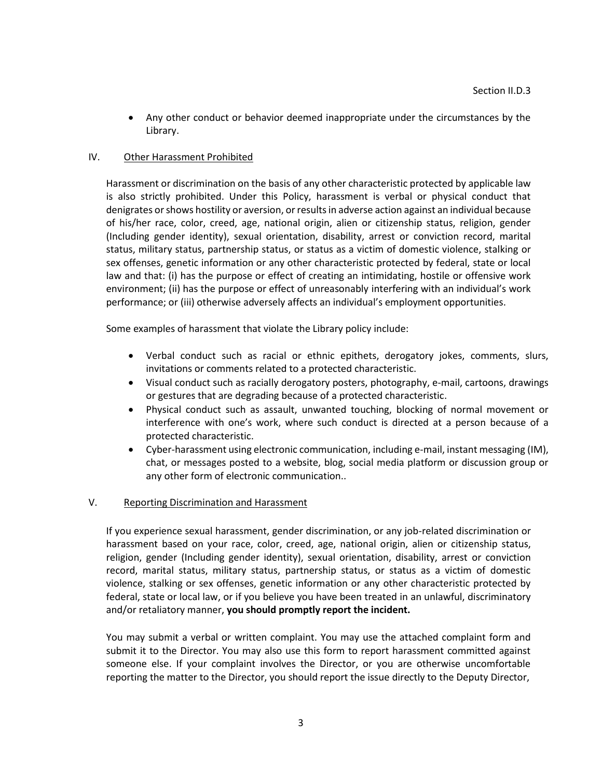Any other conduct or behavior deemed inappropriate under the circumstances by the Library.

## IV. Other Harassment Prohibited

Harassment or discrimination on the basis of any other characteristic protected by applicable law is also strictly prohibited. Under this Policy, harassment is verbal or physical conduct that denigrates or shows hostility or aversion, or results in adverse action against an individual because of his/her race, color, creed, age, national origin, alien or citizenship status, religion, gender (Including gender identity), sexual orientation, disability, arrest or conviction record, marital status, military status, partnership status, or status as a victim of domestic violence, stalking or sex offenses, genetic information or any other characteristic protected by federal, state or local law and that: (i) has the purpose or effect of creating an intimidating, hostile or offensive work environment; (ii) has the purpose or effect of unreasonably interfering with an individual's work performance; or (iii) otherwise adversely affects an individual's employment opportunities.

Some examples of harassment that violate the Library policy include:

- Verbal conduct such as racial or ethnic epithets, derogatory jokes, comments, slurs, invitations or comments related to a protected characteristic.
- Visual conduct such as racially derogatory posters, photography, e-mail, cartoons, drawings or gestures that are degrading because of a protected characteristic.
- Physical conduct such as assault, unwanted touching, blocking of normal movement or interference with one's work, where such conduct is directed at a person because of a protected characteristic.
- Cyber-harassment using electronic communication, including e-mail, instant messaging (IM), chat, or messages posted to a website, blog, social media platform or discussion group or any other form of electronic communication..

## V. Reporting Discrimination and Harassment

If you experience sexual harassment, gender discrimination, or any job-related discrimination or harassment based on your race, color, creed, age, national origin, alien or citizenship status, religion, gender (Including gender identity), sexual orientation, disability, arrest or conviction record, marital status, military status, partnership status, or status as a victim of domestic violence, stalking or sex offenses, genetic information or any other characteristic protected by federal, state or local law, or if you believe you have been treated in an unlawful, discriminatory and/or retaliatory manner, **you should promptly report the incident.** 

You may submit a verbal or written complaint. You may use the attached complaint form and submit it to the Director. You may also use this form to report harassment committed against someone else. If your complaint involves the Director, or you are otherwise uncomfortable reporting the matter to the Director, you should report the issue directly to the Deputy Director,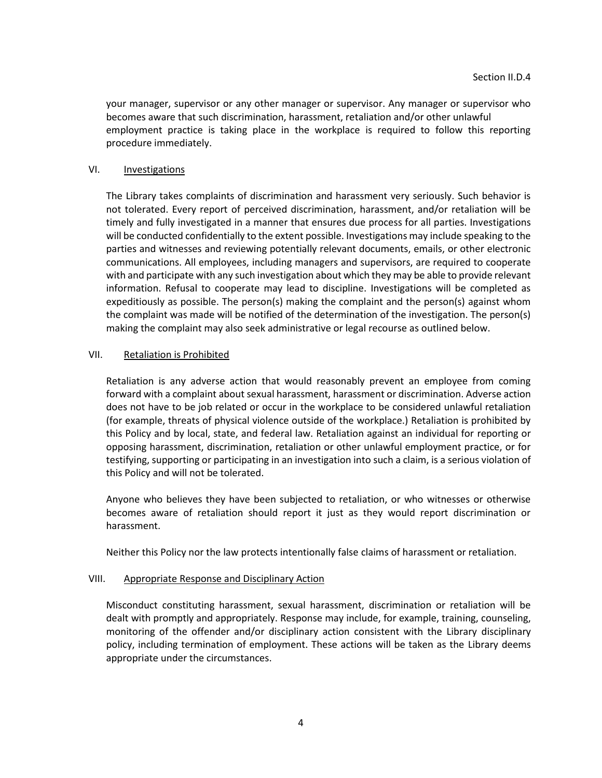your manager, supervisor or any other manager or supervisor. Any manager or supervisor who becomes aware that such discrimination, harassment, retaliation and/or other unlawful employment practice is taking place in the workplace is required to follow this reporting procedure immediately.

### VI. **Investigations**

The Library takes complaints of discrimination and harassment very seriously. Such behavior is not tolerated. Every report of perceived discrimination, harassment, and/or retaliation will be timely and fully investigated in a manner that ensures due process for all parties. Investigations will be conducted confidentially to the extent possible. Investigations may include speaking to the parties and witnesses and reviewing potentially relevant documents, emails, or other electronic communications. All employees, including managers and supervisors, are required to cooperate with and participate with any such investigation about which they may be able to provide relevant information. Refusal to cooperate may lead to discipline. Investigations will be completed as expeditiously as possible. The person(s) making the complaint and the person(s) against whom the complaint was made will be notified of the determination of the investigation. The person(s) making the complaint may also seek administrative or legal recourse as outlined below.

### VII. Retaliation is Prohibited

Retaliation is any adverse action that would reasonably prevent an employee from coming forward with a complaint about sexual harassment, harassment or discrimination. Adverse action does not have to be job related or occur in the workplace to be considered unlawful retaliation (for example, threats of physical violence outside of the workplace.) Retaliation is prohibited by this Policy and by local, state, and federal law. Retaliation against an individual for reporting or opposing harassment, discrimination, retaliation or other unlawful employment practice, or for testifying, supporting or participating in an investigation into such a claim, is a serious violation of this Policy and will not be tolerated.

Anyone who believes they have been subjected to retaliation, or who witnesses or otherwise becomes aware of retaliation should report it just as they would report discrimination or harassment.

Neither this Policy nor the law protects intentionally false claims of harassment or retaliation.

#### VIII. Appropriate Response and Disciplinary Action

Misconduct constituting harassment, sexual harassment, discrimination or retaliation will be dealt with promptly and appropriately. Response may include, for example, training, counseling, monitoring of the offender and/or disciplinary action consistent with the Library disciplinary policy, including termination of employment. These actions will be taken as the Library deems appropriate under the circumstances.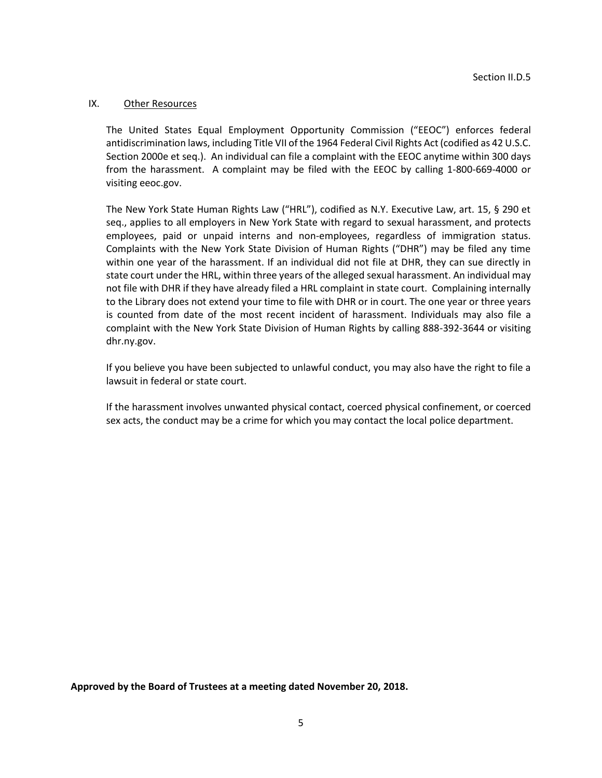#### IX. Other Resources

The United States Equal Employment Opportunity Commission ("EEOC") enforces federal antidiscrimination laws, including Title VII of the 1964 Federal Civil Rights Act (codified as 42 U.S.C. Section 2000e et seq.). An individual can file a complaint with the EEOC anytime within 300 days from the harassment. A complaint may be filed with the EEOC by calling 1-800-669-4000 or visiting eeoc.gov.

The New York State Human Rights Law ("HRL"), codified as N.Y. Executive Law, art. 15, § 290 et seq., applies to all employers in New York State with regard to sexual harassment, and protects employees, paid or unpaid interns and non-employees, regardless of immigration status. Complaints with the New York State Division of Human Rights ("DHR") may be filed any time within one year of the harassment. If an individual did not file at DHR, they can sue directly in state court under the HRL, within three years of the alleged sexual harassment. An individual may not file with DHR if they have already filed a HRL complaint in state court. Complaining internally to the Library does not extend your time to file with DHR or in court. The one year or three years is counted from date of the most recent incident of harassment. Individuals may also file a complaint with the New York State Division of Human Rights by calling 888-392-3644 or visiting dhr.ny.gov.

If you believe you have been subjected to unlawful conduct, you may also have the right to file a lawsuit in federal or state court.

If the harassment involves unwanted physical contact, coerced physical confinement, or coerced sex acts, the conduct may be a crime for which you may contact the local police department.

**Approved by the Board of Trustees at a meeting dated November 20, 2018.**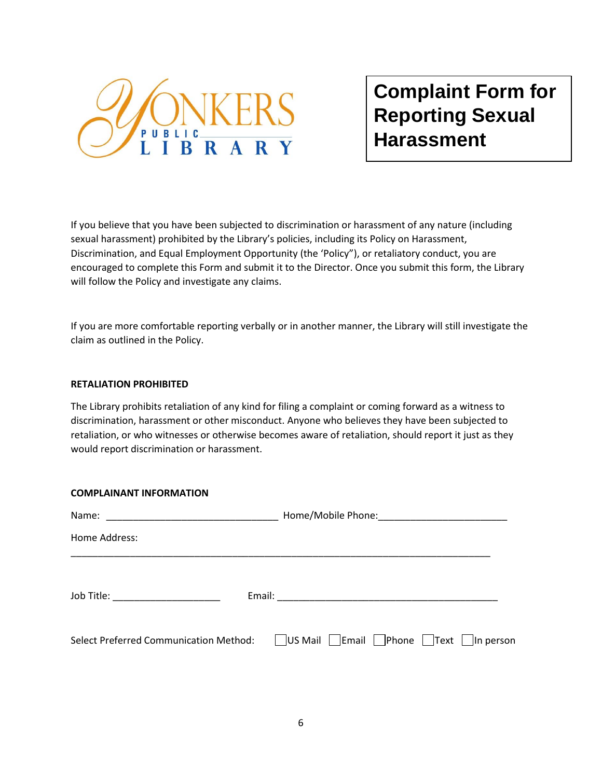

**Complaint Form for Reporting Sexual Harassment**

If you believe that you have been subjected to discrimination or harassment of any nature (including sexual harassment) prohibited by the Library's policies, including its Policy on Harassment, Discrimination, and Equal Employment Opportunity (the 'Policy"), or retaliatory conduct, you are encouraged to complete this Form and submit it to the Director. Once you submit this form, the Library will follow the Policy and investigate any claims.

If you are more comfortable reporting verbally or in another manner, the Library will still investigate the claim as outlined in the Policy.

### **RETALIATION PROHIBITED**

**COMPLAINANT INFORMATION**

The Library prohibits retaliation of any kind for filing a complaint or coming forward as a witness to discrimination, harassment or other misconduct. Anyone who believes they have been subjected to retaliation, or who witnesses or otherwise becomes aware of retaliation, should report it just as they would report discrimination or harassment.

| COMPLAINANT INFORMATION            |                                                                                                              |  |
|------------------------------------|--------------------------------------------------------------------------------------------------------------|--|
|                                    |                                                                                                              |  |
| Home Address:                      |                                                                                                              |  |
| Job Title: _______________________ |                                                                                                              |  |
|                                    | Select Preferred Communication Method: $\Box$ US Mail $\Box$ Email $\Box$ Phone $\Box$ Text $\Box$ In person |  |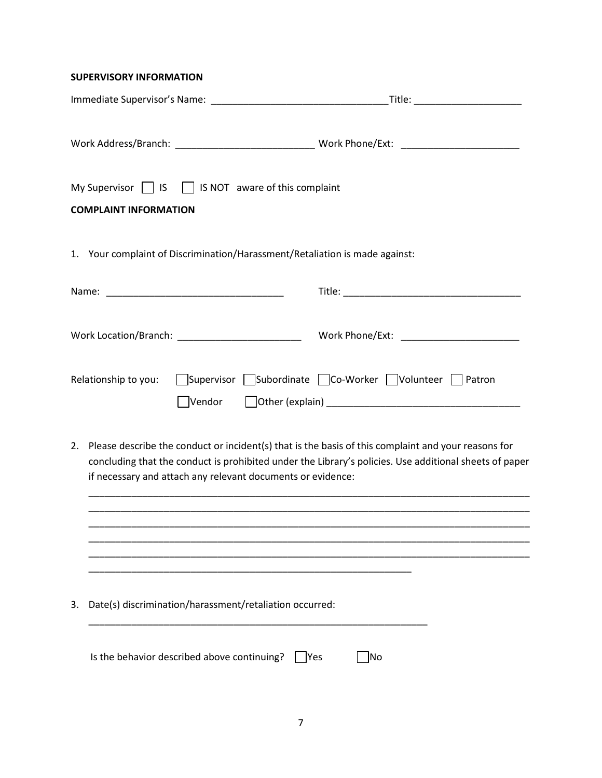## **SUPERVISORY INFORMATION**

| My Supervisor Sandy Supervisor Supervisor Supervisor Supervisor Supervisor Supervisor Supervisor Supervisor Supervisor Supervisor Supervisor Supervisor Supervisor Supervisor Supervisor Supervisor Supervisor Supervisor Supe<br><b>COMPLAINT INFORMATION</b>                     |                                                   |
|------------------------------------------------------------------------------------------------------------------------------------------------------------------------------------------------------------------------------------------------------------------------------------|---------------------------------------------------|
| 1. Your complaint of Discrimination/Harassment/Retaliation is made against:                                                                                                                                                                                                        |                                                   |
|                                                                                                                                                                                                                                                                                    |                                                   |
|                                                                                                                                                                                                                                                                                    |                                                   |
| Relationship to you:<br>Vendor                                                                                                                                                                                                                                                     | Supervisor Subordinate Co-Worker Volunteer Patron |
| Please describe the conduct or incident(s) that is the basis of this complaint and your reasons for<br>2.<br>concluding that the conduct is prohibited under the Library's policies. Use additional sheets of paper<br>if necessary and attach any relevant documents or evidence: |                                                   |
|                                                                                                                                                                                                                                                                                    |                                                   |
|                                                                                                                                                                                                                                                                                    |                                                   |
| Date(s) discrimination/harassment/retaliation occurred:<br>3.                                                                                                                                                                                                                      |                                                   |
| Is the behavior described above continuing?<br><b>IYes</b>                                                                                                                                                                                                                         | No                                                |